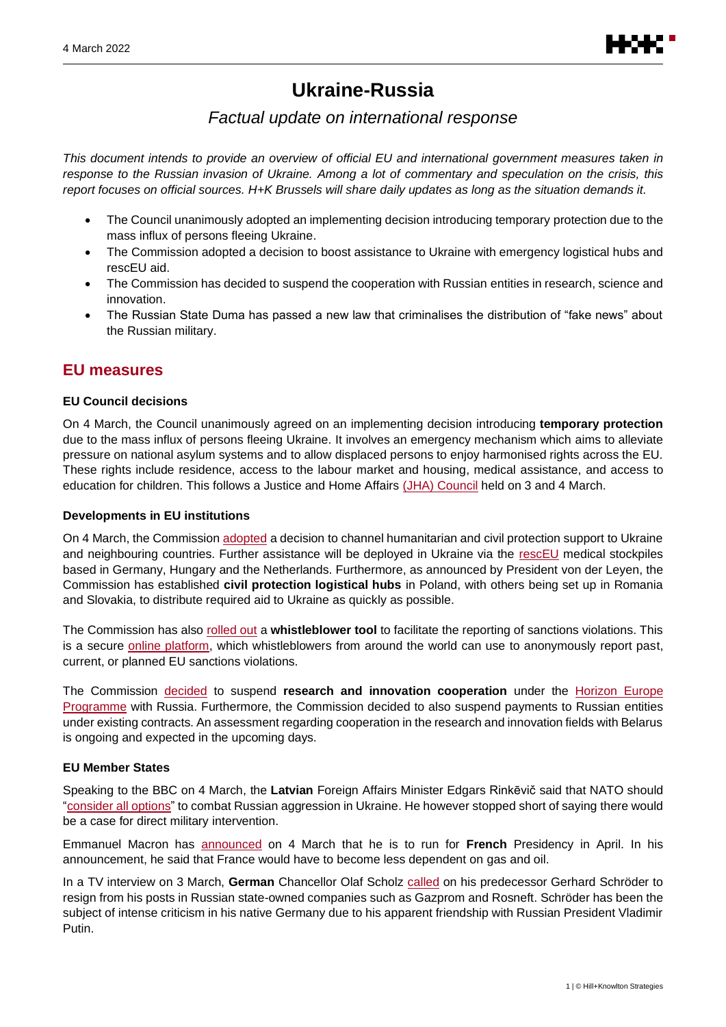# **Ukraine-Russia**

# *Factual update on international response*

*This document intends to provide an overview of official EU and international government measures taken in response to the Russian invasion of Ukraine. Among a lot of commentary and speculation on the crisis, this report focuses on official sources. H+K Brussels will share daily updates as long as the situation demands it.*

- The Council unanimously adopted an implementing decision introducing temporary protection due to the mass influx of persons fleeing Ukraine.
- The Commission adopted a decision to boost assistance to Ukraine with emergency logistical hubs and rescEU aid.
- The Commission has decided to suspend the cooperation with Russian entities in research, science and innovation.
- The Russian State Duma has passed a new law that criminalises the distribution of "fake news" about the Russian military.

### **EU measures**

#### **EU Council decisions**

On 4 March, the Council unanimously agreed on an implementing decision introducing **temporary protection** due to the mass influx of persons fleeing Ukraine. It involves an emergency mechanism which aims to alleviate pressure on national asylum systems and to allow displaced persons to enjoy harmonised rights across the EU. These rights include residence, access to the labour market and housing, medical assistance, and access to education for children. This follows a Justice and Home Affairs [\(JHA\) Council](https://www.consilium.europa.eu/en/meetings/jha/2022/03/03-04/) held on 3 and 4 March.

#### **Developments in EU institutions**

On 4 March, the Commissio[n adopted](https://ec.europa.eu/commission/presscorner/detail/en/mex_22_1541) a decision to channel humanitarian and civil protection support to Ukraine and neighbouring countries. Further assistance will be deployed in Ukraine via the [rescEU](https://ec.europa.eu/echo/what/civil-protection/resceu_en) medical stockpiles based in Germany, Hungary and the Netherlands. Furthermore, as announced by President von der Leyen, the Commission has established **civil protection logistical hubs** in Poland, with others being set up in Romania and Slovakia, to distribute required aid to Ukraine as quickly as possible.

The Commission has also [rolled out](https://ec.europa.eu/commission/presscorner/detail/en/mex_22_1541) a whistleblower tool to facilitate the reporting of sanctions violations. This is a secure [online platform,](https://ec.europa.eu/info/business-economy-euro/banking-and-finance/international-relations/restrictive-measures-sanctions_en#whistleblower) which whistleblowers from around the world can use to anonymously report past, current, or planned EU sanctions violations.

The Commission [decided](https://ec.europa.eu/commission/presscorner/detail/en/IP_22_1544) to suspend **research and innovation cooperation** under the [Horizon Europe](https://ec.europa.eu/info/research-and-innovation/funding/funding-opportunities/funding-programmes-and-open-calls/horizon-europe_en)  **[Programme](https://ec.europa.eu/info/research-and-innovation/funding/funding-opportunities/funding-programmes-and-open-calls/horizon-europe_en)** with Russia. Furthermore, the Commission decided to also suspend payments to Russian entities under existing contracts. An assessment regarding cooperation in the research and innovation fields with Belarus is ongoing and expected in the upcoming days.

#### **EU Member States**

Speaking to the BBC on 4 March, the **Latvian** Foreign Affairs Minister Edgars Rinkēvič said that NATO should ["consider all options"](https://www.bbc.co.uk/sounds/play/m0014xx7) to combat Russian aggression in Ukraine. He however stopped short of saying there would be a case for direct military intervention.

Emmanuel Macron has [announced](https://twitter.com/EmmanuelMacron/status/1499650738934489088) on 4 March that he is to run for **French** Presidency in April. In his announcement, he said that France would have to become less dependent on gas and oil.

In a TV interview on 3 March, **German** Chancellor Olaf Scholz [called](https://www.zdf.de/nachrichten/politik/scholz-maybrit-illner-russland-ukraine-krieg-100.html) on his predecessor Gerhard Schröder to resign from his posts in Russian state-owned companies such as Gazprom and Rosneft. Schröder has been the subject of intense criticism in his native Germany due to his apparent friendship with Russian President Vladimir Putin.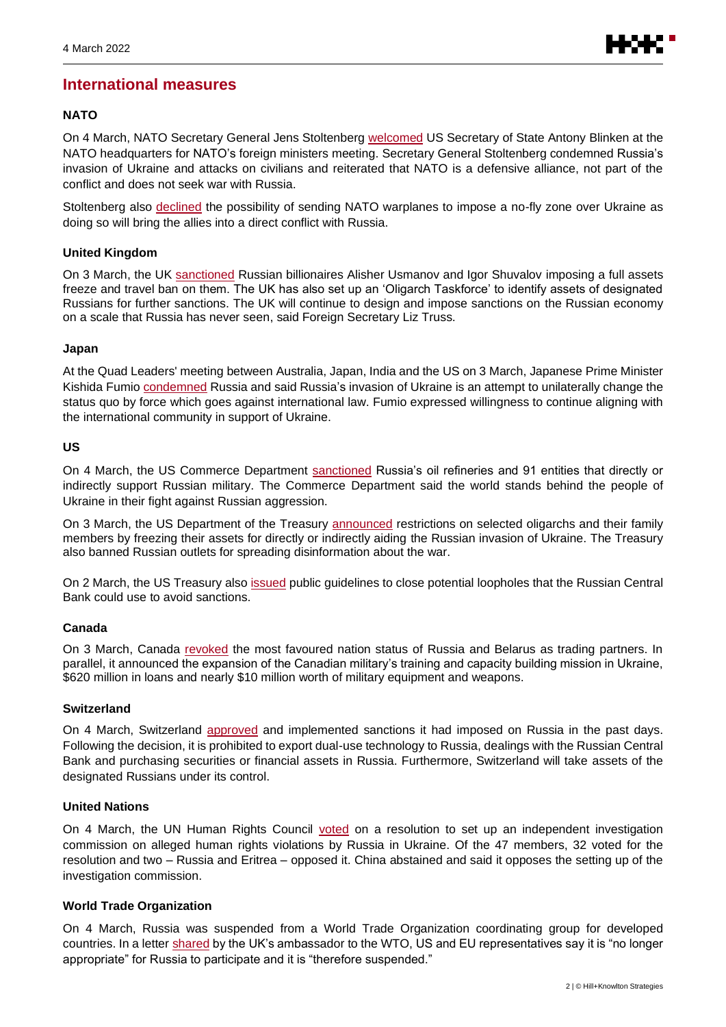### **International measures**

#### **NATO**

On 4 March, NATO Secretary General Jens Stoltenberg [welcomed](https://www.nato.int/cps/en/natohq/opinions_192736.htm) US Secretary of State Antony Blinken at the NATO headquarters for NATO's foreign ministers meeting. Secretary General Stoltenberg condemned Russia's invasion of Ukraine and attacks on civilians and reiterated that NATO is a defensive alliance, not part of the conflict and does not seek war with Russia.

Stoltenberg also [declined](https://twitter.com/BBCPolitics/status/1499736956674129923?s=20&t=Nfh5NYAZxduWGux16VUFCg) the possibility of sending NATO warplanes to impose a no-fly zone over Ukraine as doing so will bring the allies into a direct conflict with Russia.

#### **United Kingdom**

On 3 March, the UK [sanctioned](https://www.gov.uk/government/news/government-announces-sanctions-against-russian-oligarchs-alisher-usmanov-and-igor-shuvalov) Russian billionaires Alisher Usmanov and Igor Shuvalov imposing a full assets freeze and travel ban on them. The UK has also set up an 'Oligarch Taskforce' to identify assets of designated Russians for further sanctions. The UK will continue to design and impose sanctions on the Russian economy on a scale that Russia has never seen, said Foreign Secretary Liz Truss.

#### **Japan**

At the Quad Leaders' meeting between Australia, Japan, India and the US on 3 March, Japanese Prime Minister Kishida Fumio [condemned](https://www.mofa.go.jp/fp/nsp/page1e_000379.html) Russia and said Russia's invasion of Ukraine is an attempt to unilaterally change the status quo by force which goes against international law. Fumio expressed willingness to continue aligning with the international community in support of Ukraine.

#### **US**

On 4 March, the US Commerce Department [sanctioned](https://www.commerce.gov/news/press-releases/2022/03/commerce-takes-further-actions-target-russian-strategic-industries-and) Russia's oil refineries and 91 entities that directly or indirectly support Russian military. The Commerce Department said the world stands behind the people of Ukraine in their fight against Russian aggression.

On 3 March, the US Department of the Treasury [announ](https://home.treasury.gov/news/press-releases/jy0628)ced restrictions on selected oligarchs and their family members by freezing their assets for directly or indirectly aiding the Russian invasion of Ukraine. The Treasury also banned Russian outlets for spreading disinformation about the war.

On 2 March, the US Treasury als[o issued](https://home.treasury.gov/news/press-releases/jy0624) public guidelines to close potential loopholes that the Russian Central Bank could use to avoid sanctions.

#### **Canada**

On 3 March, Canada [revoked](https://www.canada.ca/en/department-finance/news/2022/03/canada-cuts-russia-and-belarus-from-most-favoured-nation-tariff-treatment.html) the most favoured nation status of Russia and Belarus as trading partners. In parallel, it announced the expansion of the Canadian military's training and capacity building mission in Ukraine, \$620 million in loans and nearly \$10 million worth of military equipment and weapons.

#### **Switzerland**

On 4 March, Switzerland [approved](https://www.admin.ch/gov/en/start/documentation/media-releases.msg-id-87474.html) and implemented sanctions it had imposed on Russia in the past days. Following the decision, it is prohibited to export dual-use technology to Russia, dealings with the Russian Central Bank and purchasing securities or financial assets in Russia. Furthermore, Switzerland will take assets of the designated Russians under its control.

#### **United Nations**

On 4 March, the UN Human Rights Council [voted](https://www.aa.com.tr/en/russia-ukraine-crisis/un-human-rights-council-to-investigate-rights-violations-by-russia-in-ukraine/2523846) on a resolution to set up an independent investigation commission on alleged human rights violations by Russia in Ukraine. Of the 47 members, 32 voted for the resolution and two – Russia and Eritrea – opposed it. China abstained and said it opposes the setting up of the investigation commission.

#### **World Trade Organization**

On 4 March, Russia was suspended from a World Trade Organization coordinating group for developed countries. In a letter [shared](https://content.mlex.com/Attachments/2022-03-04_J8NF1WHD8FK1BU5C/letter%20to%20WTO.pdf) by the UK's ambassador to the WTO, US and EU representatives say it is "no longer appropriate" for Russia to participate and it is "therefore suspended."